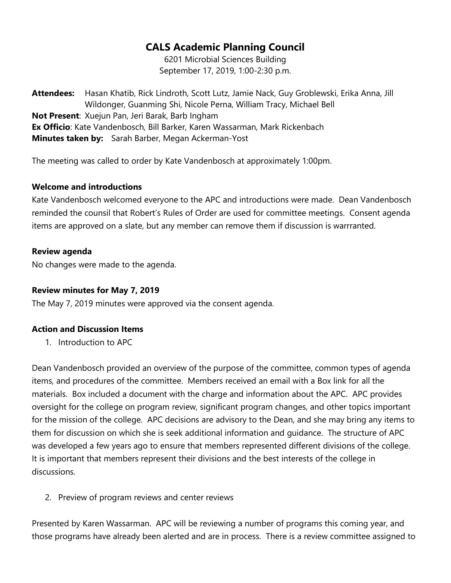# CALS Academic Planning Council

6201 Microbial Sciences Building September 17, 2019, 1:00-2:30 p.m.

Attendees: Hasan Khatib, Rick Lindroth, Scott Lutz, Jamie Nack, Guy Groblewski, Erika Anna, Jill Wildonger, Guanming Shi, Nicole Perna, William Tracy, Michael Bell Not Present: Xuejun Pan, Jeri Barak, Barb Ingham Ex Officio: Kate Vandenbosch, Bill Barker, Karen Wassarman, Mark Rickenbach Minutes taken by: Sarah Barber, Megan Ackerman-Yost

The meeting was called to order by Kate Vandenbosch at approximately 1:00pm.

#### Welcome and introductions

Kate Vandenbosch welcomed everyone to the APC and introductions were made. Dean Vandenbosch reminded the counsil that Robert's Rules of Order are used for committee meetings. Consent agenda items are approved on a slate, but any member can remove them if discussion is warrranted.

#### Review agenda

No changes were made to the agenda.

### Review minutes for May 7, 2019

The May 7, 2019 minutes were approved via the consent agenda.

# Action and Discussion Items

1. Introduction to APC

Dean Vandenbosch provided an overview of the purpose of the committee, common types of agenda items, and procedures of the committee. Members received an email with a Box link for all the materials. Box included a document with the charge and information about the APC. APC provides oversight for the college on program review, significant program changes, and other topics important for the mission of the college. APC decisions are advisory to the Dean, and she may bring any items to them for discussion on which she is seek additional information and guidance. The structure of APC was developed a few years ago to ensure that members represented different divisions of the college. It is important that members represent their divisions and the best interests of the college in discussions.

2. Preview of program reviews and center reviews

Presented by Karen Wassarman. APC will be reviewing a number of programs this coming year, and those programs have already been alerted and are in process. There is a review committee assigned to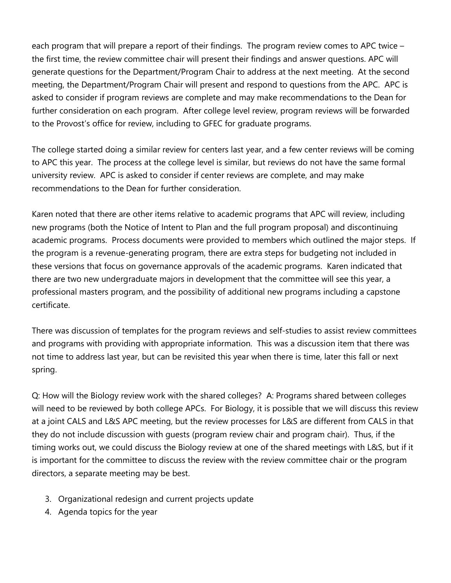each program that will prepare a report of their findings. The program review comes to APC twice – the first time, the review committee chair will present their findings and answer questions. APC will generate questions for the Department/Program Chair to address at the next meeting. At the second meeting, the Department/Program Chair will present and respond to questions from the APC. APC is asked to consider if program reviews are complete and may make recommendations to the Dean for further consideration on each program. After college level review, program reviews will be forwarded to the Provost's office for review, including to GFEC for graduate programs.

The college started doing a similar review for centers last year, and a few center reviews will be coming to APC this year. The process at the college level is similar, but reviews do not have the same formal university review. APC is asked to consider if center reviews are complete, and may make recommendations to the Dean for further consideration.

Karen noted that there are other items relative to academic programs that APC will review, including new programs (both the Notice of Intent to Plan and the full program proposal) and discontinuing academic programs. Process documents were provided to members which outlined the major steps. If the program is a revenue-generating program, there are extra steps for budgeting not included in these versions that focus on governance approvals of the academic programs. Karen indicated that there are two new undergraduate majors in development that the committee will see this year, a professional masters program, and the possibility of additional new programs including a capstone certificate.

There was discussion of templates for the program reviews and self-studies to assist review committees and programs with providing with appropriate information. This was a discussion item that there was not time to address last year, but can be revisited this year when there is time, later this fall or next spring.

Q: How will the Biology review work with the shared colleges? A: Programs shared between colleges will need to be reviewed by both college APCs. For Biology, it is possible that we will discuss this review at a joint CALS and L&S APC meeting, but the review processes for L&S are different from CALS in that they do not include discussion with guests (program review chair and program chair). Thus, if the timing works out, we could discuss the Biology review at one of the shared meetings with L&S, but if it is important for the committee to discuss the review with the review committee chair or the program directors, a separate meeting may be best.

- 3. Organizational redesign and current projects update
- 4. Agenda topics for the year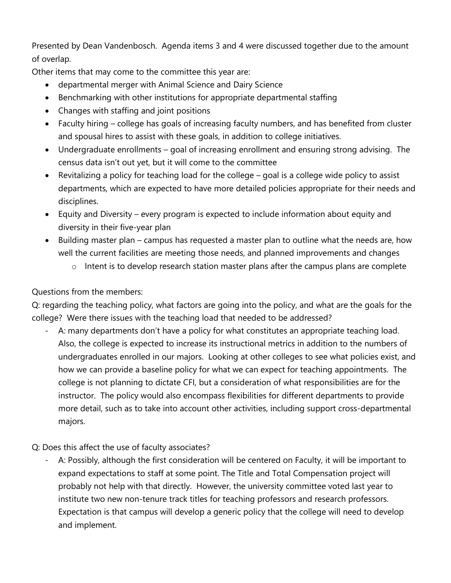Presented by Dean Vandenbosch. Agenda items 3 and 4 were discussed together due to the amount of overlap.

Other items that may come to the committee this year are:

- departmental merger with Animal Science and Dairy Science
- Benchmarking with other institutions for appropriate departmental staffing
- Changes with staffing and joint positions
- Faculty hiring college has goals of increasing faculty numbers, and has benefited from cluster and spousal hires to assist with these goals, in addition to college initiatives.
- Undergraduate enrollments goal of increasing enrollment and ensuring strong advising. The census data isn't out yet, but it will come to the committee
- Revitalizing a policy for teaching load for the college goal is a college wide policy to assist departments, which are expected to have more detailed policies appropriate for their needs and disciplines.
- Equity and Diversity every program is expected to include information about equity and diversity in their five-year plan
- Building master plan campus has requested a master plan to outline what the needs are, how well the current facilities are meeting those needs, and planned improvements and changes
	- o Intent is to develop research station master plans after the campus plans are complete

Questions from the members:

Q: regarding the teaching policy, what factors are going into the policy, and what are the goals for the college? Were there issues with the teaching load that needed to be addressed?

- A: many departments don't have a policy for what constitutes an appropriate teaching load. Also, the college is expected to increase its instructional metrics in addition to the numbers of undergraduates enrolled in our majors. Looking at other colleges to see what policies exist, and how we can provide a baseline policy for what we can expect for teaching appointments. The college is not planning to dictate CFI, but a consideration of what responsibilities are for the instructor. The policy would also encompass flexibilities for different departments to provide more detail, such as to take into account other activities, including support cross-departmental majors.
- Q: Does this affect the use of faculty associates?
	- A: Possibly, although the first consideration will be centered on Faculty, it will be important to expand expectations to staff at some point. The Title and Total Compensation project will probably not help with that directly. However, the university committee voted last year to institute two new non-tenure track titles for teaching professors and research professors. Expectation is that campus will develop a generic policy that the college will need to develop and implement.